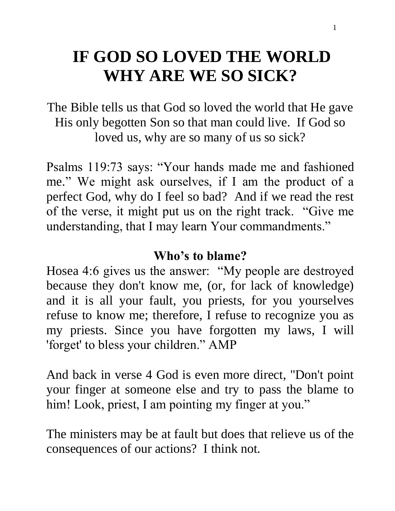# **IF GOD SO LOVED THE WORLD WHY ARE WE SO SICK?**

The Bible tells us that God so loved the world that He gave His only begotten Son so that man could live. If God so loved us, why are so many of us so sick?

Psalms 119:73 says: "Your hands made me and fashioned me." We might ask ourselves, if I am the product of a perfect God, why do I feel so bad? And if we read the rest of the verse, it might put us on the right track. "Give me understanding, that I may learn Your commandments."

#### **Who's to blame?**

Hosea 4:6 gives us the answer: "My people are destroyed because they don't know me, (or, for lack of knowledge) and it is all your fault, you priests, for you yourselves refuse to know me; therefore, I refuse to recognize you as my priests. Since you have forgotten my laws, I will 'forget' to bless your children." AMP

And back in verse 4 God is even more direct, "Don't point your finger at someone else and try to pass the blame to him! Look, priest, I am pointing my finger at you."

The ministers may be at fault but does that relieve us of the consequences of our actions? I think not.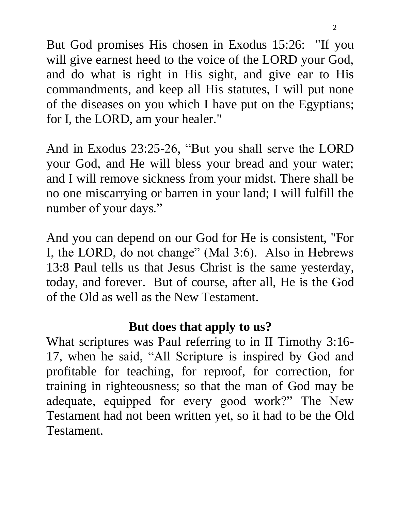But God promises His chosen in Exodus 15:26: "If you will give earnest heed to the voice of the LORD your God, and do what is right in His sight, and give ear to His commandments, and keep all His statutes, I will put none of the diseases on you which I have put on the Egyptians; for I, the LORD, am your healer."

And in Exodus 23:25-26, "But you shall serve the LORD your God, and He will bless your bread and your water; and I will remove sickness from your midst. There shall be no one miscarrying or barren in your land; I will fulfill the number of your days."

And you can depend on our God for He is consistent, "For I, the LORD, do not change" (Mal 3:6). Also in Hebrews 13:8 Paul tells us that Jesus Christ is the same yesterday, today, and forever. But of course, after all, He is the God of the Old as well as the New Testament.

### **But does that apply to us?**

What scriptures was Paul referring to in II Timothy 3:16- 17, when he said, "All Scripture is inspired by God and profitable for teaching, for reproof, for correction, for training in righteousness; so that the man of God may be adequate, equipped for every good work?" The New Testament had not been written yet, so it had to be the Old Testament.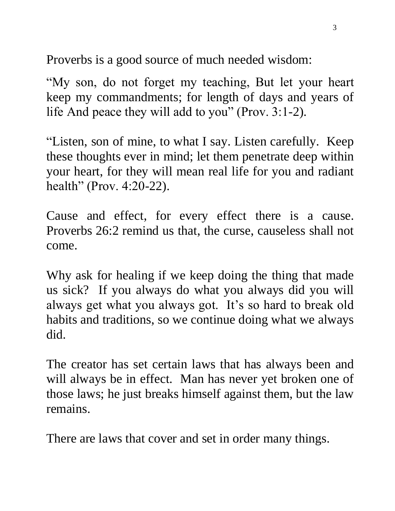Proverbs is a good source of much needed wisdom:

"My son, do not forget my teaching, But let your heart keep my commandments; for length of days and years of life And peace they will add to you" (Prov. 3:1-2).

"Listen, son of mine, to what I say. Listen carefully. Keep these thoughts ever in mind; let them penetrate deep within your heart, for they will mean real life for you and radiant health" (Prov. 4:20-22).

Cause and effect, for every effect there is a cause. Proverbs 26:2 remind us that, the curse, causeless shall not come.

Why ask for healing if we keep doing the thing that made us sick? If you always do what you always did you will always get what you always got. It's so hard to break old habits and traditions, so we continue doing what we always did.

The creator has set certain laws that has always been and will always be in effect. Man has never yet broken one of those laws; he just breaks himself against them, but the law remains.

There are laws that cover and set in order many things.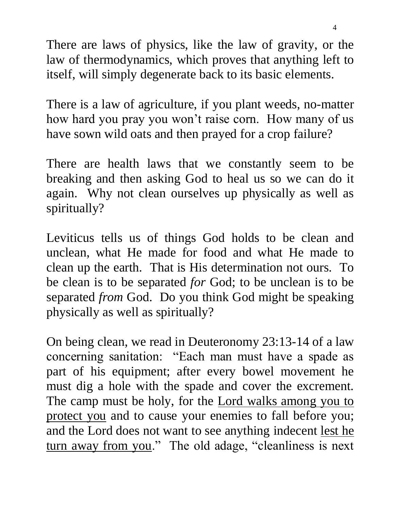There are laws of physics, like the law of gravity, or the law of thermodynamics, which proves that anything left to itself, will simply degenerate back to its basic elements.

There is a law of agriculture, if you plant weeds, no-matter how hard you pray you won't raise corn. How many of us have sown wild oats and then prayed for a crop failure?

There are health laws that we constantly seem to be breaking and then asking God to heal us so we can do it again. Why not clean ourselves up physically as well as spiritually?

Leviticus tells us of things God holds to be clean and unclean, what He made for food and what He made to clean up the earth. That is His determination not ours. To be clean is to be separated *for* God; to be unclean is to be separated *from* God. Do you think God might be speaking physically as well as spiritually?

On being clean, we read in Deuteronomy 23:13-14 of a law concerning sanitation: "Each man must have a spade as part of his equipment; after every bowel movement he must dig a hole with the spade and cover the excrement. The camp must be holy, for the **Lord walks among you to** protect you and to cause your enemies to fall before you; and the Lord does not want to see anything indecent lest he turn away from you." The old adage, "cleanliness is next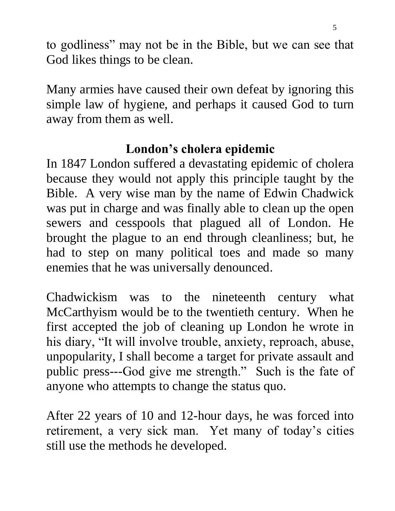to godliness" may not be in the Bible, but we can see that God likes things to be clean.

Many armies have caused their own defeat by ignoring this simple law of hygiene, and perhaps it caused God to turn away from them as well.

# **London's cholera epidemic**

In 1847 London suffered a devastating epidemic of cholera because they would not apply this principle taught by the Bible. A very wise man by the name of Edwin Chadwick was put in charge and was finally able to clean up the open sewers and cesspools that plagued all of London. He brought the plague to an end through cleanliness; but, he had to step on many political toes and made so many enemies that he was universally denounced.

Chadwickism was to the nineteenth century what McCarthyism would be to the twentieth century. When he first accepted the job of cleaning up London he wrote in his diary, "It will involve trouble, anxiety, reproach, abuse, unpopularity, I shall become a target for private assault and public press---God give me strength." Such is the fate of anyone who attempts to change the status quo.

After 22 years of 10 and 12-hour days, he was forced into retirement, a very sick man. Yet many of today's cities still use the methods he developed.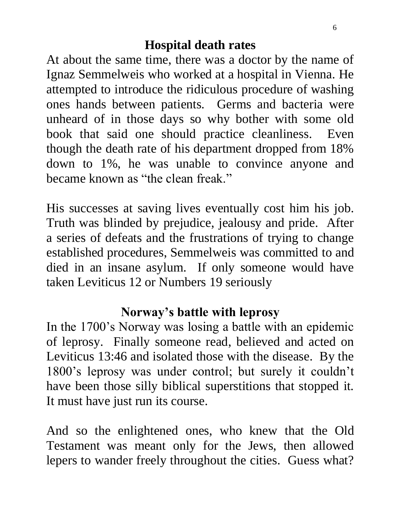#### **Hospital death rates**

At about the same time, there was a doctor by the name of Ignaz Semmelweis who worked at a hospital in Vienna. He attempted to introduce the ridiculous procedure of washing ones hands between patients. Germs and bacteria were unheard of in those days so why bother with some old book that said one should practice cleanliness. Even though the death rate of his department dropped from 18% down to 1%, he was unable to convince anyone and became known as "the clean freak."

His successes at saving lives eventually cost him his job. Truth was blinded by prejudice, jealousy and pride. After a series of defeats and the frustrations of trying to change established procedures, Semmelweis was committed to and died in an insane asylum. If only someone would have taken Leviticus 12 or Numbers 19 seriously

#### **Norway's battle with leprosy**

In the 1700's Norway was losing a battle with an epidemic of leprosy. Finally someone read, believed and acted on Leviticus 13:46 and isolated those with the disease. By the 1800's leprosy was under control; but surely it couldn't have been those silly biblical superstitions that stopped it. It must have just run its course.

And so the enlightened ones, who knew that the Old Testament was meant only for the Jews, then allowed lepers to wander freely throughout the cities. Guess what?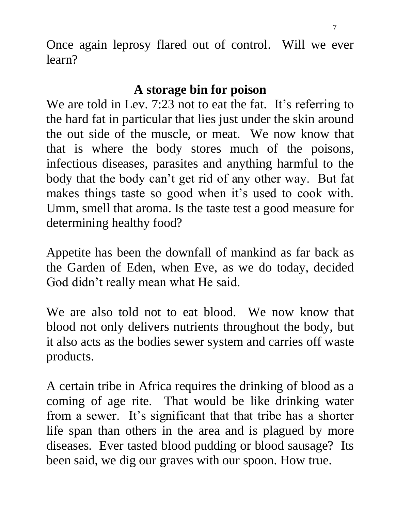Once again leprosy flared out of control. Will we ever learn?

## **A storage bin for poison**

We are told in Lev. 7:23 not to eat the fat. It's referring to the hard fat in particular that lies just under the skin around the out side of the muscle, or meat. We now know that that is where the body stores much of the poisons, infectious diseases, parasites and anything harmful to the body that the body can't get rid of any other way. But fat makes things taste so good when it's used to cook with. Umm, smell that aroma. Is the taste test a good measure for determining healthy food?

Appetite has been the downfall of mankind as far back as the Garden of Eden, when Eve, as we do today, decided God didn't really mean what He said.

We are also told not to eat blood. We now know that blood not only delivers nutrients throughout the body, but it also acts as the bodies sewer system and carries off waste products.

A certain tribe in Africa requires the drinking of blood as a coming of age rite. That would be like drinking water from a sewer. It's significant that that tribe has a shorter life span than others in the area and is plagued by more diseases. Ever tasted blood pudding or blood sausage? Its been said, we dig our graves with our spoon. How true.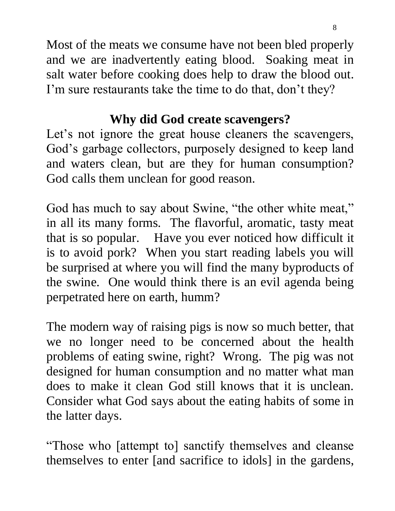Most of the meats we consume have not been bled properly and we are inadvertently eating blood. Soaking meat in salt water before cooking does help to draw the blood out. I'm sure restaurants take the time to do that, don't they?

# **Why did God create scavengers?**

Let's not ignore the great house cleaners the scavengers, God's garbage collectors, purposely designed to keep land and waters clean, but are they for human consumption? God calls them unclean for good reason.

God has much to say about Swine, "the other white meat," in all its many forms. The flavorful, aromatic, tasty meat that is so popular. Have you ever noticed how difficult it is to avoid pork? When you start reading labels you will be surprised at where you will find the many byproducts of the swine. One would think there is an evil agenda being perpetrated here on earth, humm?

The modern way of raising pigs is now so much better, that we no longer need to be concerned about the health problems of eating swine, right? Wrong. The pig was not designed for human consumption and no matter what man does to make it clean God still knows that it is unclean. Consider what God says about the eating habits of some in the latter days.

"Those who [attempt to] sanctify themselves and cleanse themselves to enter [and sacrifice to idols] in the gardens,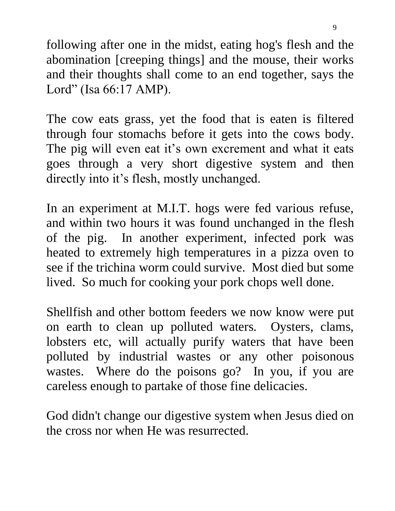following after one in the midst, eating hog's flesh and the abomination [creeping things] and the mouse, their works and their thoughts shall come to an end together, says the Lord" (Isa 66:17 AMP).

The cow eats grass, yet the food that is eaten is filtered through four stomachs before it gets into the cows body. The pig will even eat it's own excrement and what it eats goes through a very short digestive system and then directly into it's flesh, mostly unchanged.

In an experiment at M.I.T. hogs were fed various refuse, and within two hours it was found unchanged in the flesh of the pig. In another experiment, infected pork was heated to extremely high temperatures in a pizza oven to see if the trichina worm could survive. Most died but some lived. So much for cooking your pork chops well done.

Shellfish and other bottom feeders we now know were put on earth to clean up polluted waters. Oysters, clams, lobsters etc, will actually purify waters that have been polluted by industrial wastes or any other poisonous wastes. Where do the poisons go? In you, if you are careless enough to partake of those fine delicacies.

God didn't change our digestive system when Jesus died on the cross nor when He was resurrected.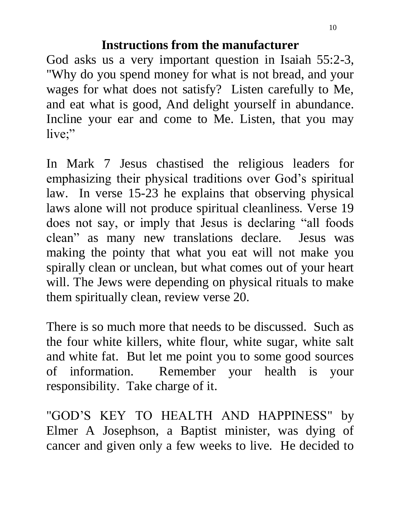#### **Instructions from the manufacturer**

God asks us a very important question in Isaiah 55:2-3, "Why do you spend money for what is not bread, and your wages for what does not satisfy? Listen carefully to Me, and eat what is good, And delight yourself in abundance. Incline your ear and come to Me. Listen, that you may live;"

In Mark 7 Jesus chastised the religious leaders for emphasizing their physical traditions over God's spiritual law. In verse 15-23 he explains that observing physical laws alone will not produce spiritual cleanliness. Verse 19 does not say, or imply that Jesus is declaring "all foods clean" as many new translations declare. Jesus was making the pointy that what you eat will not make you spirally clean or unclean, but what comes out of your heart will. The Jews were depending on physical rituals to make them spiritually clean, review verse 20.

There is so much more that needs to be discussed. Such as the four white killers, white flour, white sugar, white salt and white fat. But let me point you to some good sources of information. Remember your health is your responsibility. Take charge of it.

"GOD'S KEY TO HEALTH AND HAPPINESS" by Elmer A Josephson, a Baptist minister, was dying of cancer and given only a few weeks to live. He decided to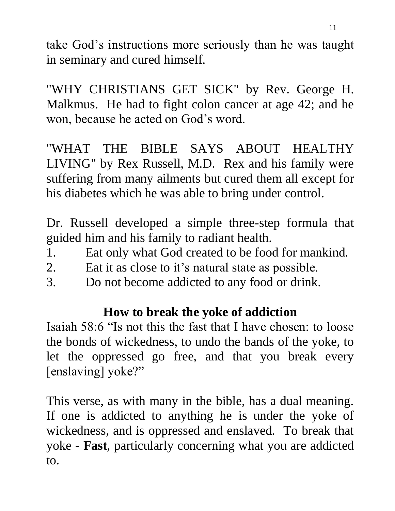take God's instructions more seriously than he was taught in seminary and cured himself.

"WHY CHRISTIANS GET SICK" by Rev. George H. Malkmus. He had to fight colon cancer at age 42; and he won, because he acted on God's word.

"WHAT THE BIBLE SAYS ABOUT HEALTHY LIVING" by Rex Russell, M.D. Rex and his family were suffering from many ailments but cured them all except for his diabetes which he was able to bring under control.

Dr. Russell developed a simple three-step formula that guided him and his family to radiant health.

- 1. Eat only what God created to be food for mankind.
- 2. Eat it as close to it's natural state as possible.
- 3. Do not become addicted to any food or drink.

# **How to break the yoke of addiction**

Isaiah 58:6 "Is not this the fast that I have chosen: to loose the bonds of wickedness, to undo the bands of the yoke, to let the oppressed go free, and that you break every [enslaving] yoke?"

This verse, as with many in the bible, has a dual meaning. If one is addicted to anything he is under the yoke of wickedness, and is oppressed and enslaved. To break that yoke - **Fast**, particularly concerning what you are addicted to.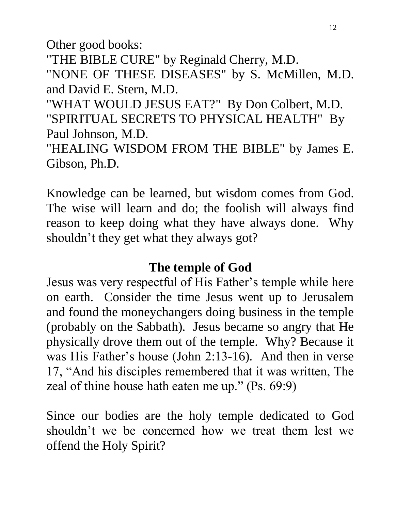Other good books:

"THE BIBLE CURE" by Reginald Cherry, M.D.

"NONE OF THESE DISEASES" by S. McMillen, M.D. and David E. Stern, M.D.

"WHAT WOULD JESUS EAT?" By Don Colbert, M.D. "SPIRITUAL SECRETS TO PHYSICAL HEALTH" By Paul Johnson, M.D.

"HEALING WISDOM FROM THE BIBLE" by James E. Gibson, Ph.D.

Knowledge can be learned, but wisdom comes from God. The wise will learn and do; the foolish will always find reason to keep doing what they have always done. Why shouldn't they get what they always got?

## **The temple of God**

Jesus was very respectful of His Father's temple while here on earth. Consider the time Jesus went up to Jerusalem and found the moneychangers doing business in the temple (probably on the Sabbath). Jesus became so angry that He physically drove them out of the temple. Why? Because it was His Father's house (John 2:13-16). And then in verse 17, "And his disciples remembered that it was written, The zeal of thine house hath eaten me up." (Ps. 69:9)

Since our bodies are the holy temple dedicated to God shouldn't we be concerned how we treat them lest we offend the Holy Spirit?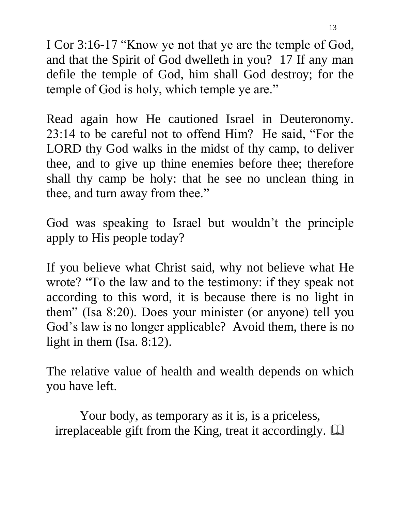I Cor 3:16-17 "Know ye not that ye are the temple of God, and that the Spirit of God dwelleth in you? 17 If any man defile the temple of God, him shall God destroy; for the temple of God is holy, which temple ye are."

Read again how He cautioned Israel in Deuteronomy. 23:14 to be careful not to offend Him? He said, "For the LORD thy God walks in the midst of thy camp, to deliver thee, and to give up thine enemies before thee; therefore shall thy camp be holy: that he see no unclean thing in thee, and turn away from thee."

God was speaking to Israel but wouldn't the principle apply to His people today?

If you believe what Christ said, why not believe what He wrote? "To the law and to the testimony: if they speak not according to this word, it is because there is no light in them" (Isa 8:20). Does your minister (or anyone) tell you God's law is no longer applicable? Avoid them, there is no light in them (Isa. 8:12).

The relative value of health and wealth depends on which you have left.

Your body, as temporary as it is, is a priceless, irreplaceable gift from the King, treat it accordingly.  $\Box$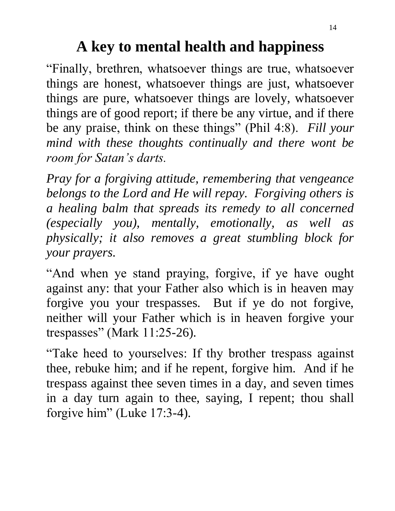# **A key to mental health and happiness**

"Finally, brethren, whatsoever things are true, whatsoever things are honest, whatsoever things are just, whatsoever things are pure, whatsoever things are lovely, whatsoever things are of good report; if there be any virtue, and if there be any praise, think on these things" (Phil 4:8). *Fill your mind with these thoughts continually and there wont be room for Satan's darts.*

*Pray for a forgiving attitude, remembering that vengeance belongs to the Lord and He will repay. Forgiving others is a healing balm that spreads its remedy to all concerned (especially you), mentally, emotionally, as well as physically; it also removes a great stumbling block for your prayers.*   $\overline{\phantom{a}}$ 

"And when ye stand praying, forgive, if ye have ought against any: that your Father also which is in heaven may forgive you your trespasses. But if ye do not forgive, neither will your Father which is in heaven forgive your trespasses" (Mark 11:25-26).

"Take heed to yourselves: If thy brother trespass against thee, rebuke him; and if he repent, forgive him. And if he trespass against thee seven times in a day, and seven times in a day turn again to thee, saying, I repent; thou shall forgive him" (Luke 17:3-4).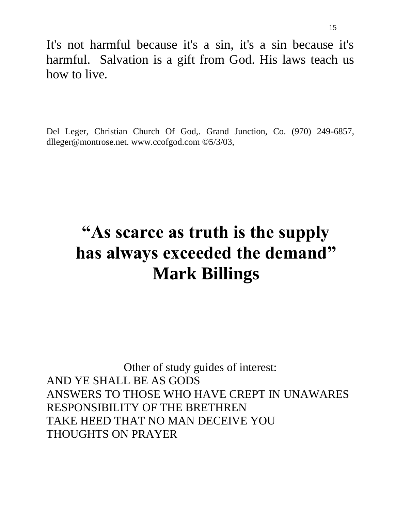It's not harmful because it's a sin, it's a sin because it's harmful. Salvation is a gift from God. His laws teach us how to live.

Del Leger, Christian Church Of God,. Grand Junction, Co. (970) 249-6857, dlleger@montrose.net. www.ccofgod.com ©5/3/03,

# **"As scarce as truth is the supply has always exceeded the demand" Mark Billings**

Other of study guides of interest: AND YE SHALL BE AS GODS ANSWERS TO THOSE WHO HAVE CREPT IN UNAWARES RESPONSIBILITY OF THE BRETHREN TAKE HEED THAT NO MAN DECEIVE YOU THOUGHTS ON PRAYER